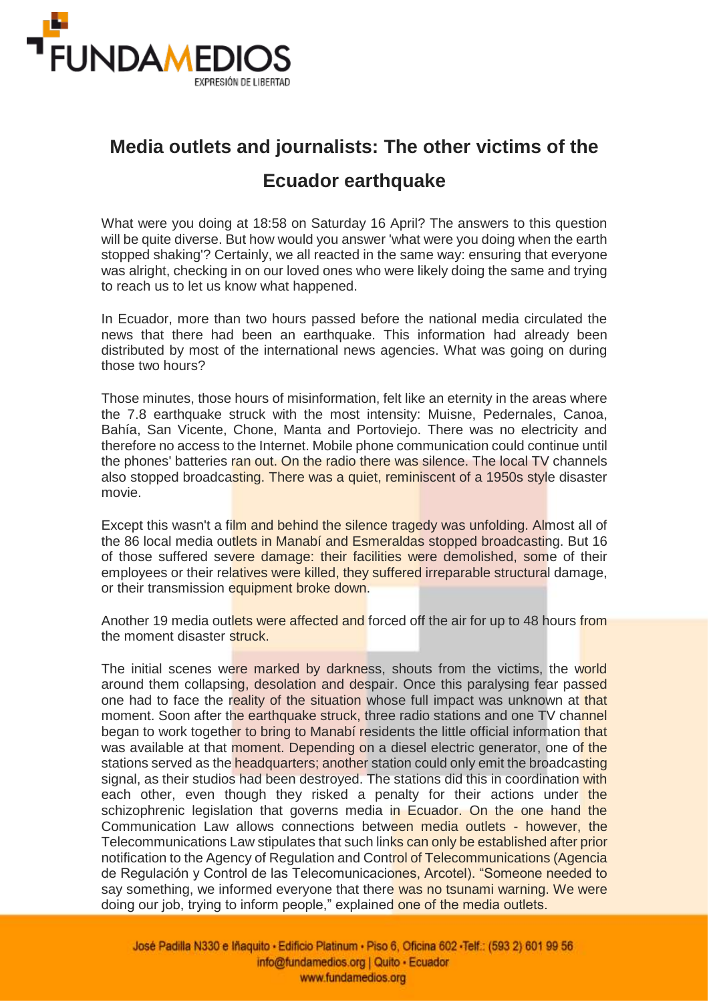

## **Media outlets and journalists: The other victims of the Ecuador earthquake**

What were you doing at 18:58 on Saturday 16 April? The answers to this question will be quite diverse. But how would you answer 'what were you doing when the earth stopped shaking'? Certainly, we all reacted in the same way: ensuring that everyone was alright, checking in on our loved ones who were likely doing the same and trying to reach us to let us know what happened.

In Ecuador, more than two hours passed before the national media circulated the news that there had been an earthquake. This information had already been distributed by most of the international news agencies. What was going on during those two hours?

Those minutes, those hours of misinformation, felt like an eternity in the areas where the 7.8 earthquake struck with the most intensity: Muisne, Pedernales, Canoa, Bahía, San Vicente, Chone, Manta and Portoviejo. There was no electricity and therefore no access to the Internet. Mobile phone communication could continue until the phones' batteries ran out. On the radio there was silence. The local TV channels also stopped broadcasting. There was a quiet, reminiscent of a 1950s style disaster movie.

Except this wasn't a film and behind the silence tragedy was unfolding. Almost all of the 86 local media outlets in Manabí and Esmeraldas stopped broadcasting. But 16 of those suffered severe damage: their facilities were demolished, some of their employees or their relatives were killed, they suffered irreparable structural damage, or their transmission equipment broke down.

Another 19 media outlets were affected and forced off the air for up to 48 hours from the moment disaster struck.

The initial scenes were marked by darkness, shouts from the victims, the world around them collapsing, desolation and despair. Once this paralysing fear passed one had to face the reality of the situation whose full impact was unknown at that moment. Soon after the earthquake struck, three radio stations and one TV channel began to work together to bring to Manabí residents the little official information that was available at that moment. Depending on a diesel electric generator, one of the stations served as the **headquarters**; another station could only emit the broadcasting signal, as their studios had been destroyed. The stations did this in coordination with each other, even though they risked a penalty for their actions under the schizophrenic legislation that governs media in Ecuador. On the one hand the Communication Law allows connections between media outlets - however, the Telecommunications Law stipulates that such links can only be established after prior notification to the Agency of Regulation and Control of Telecommunications (Agencia de Regulación y Control de las Telecomunicaciones, Arcotel). "Someone needed to say something, we informed everyone that there was no tsunami warning. We were doing our job, trying to inform people," explained one of the media outlets.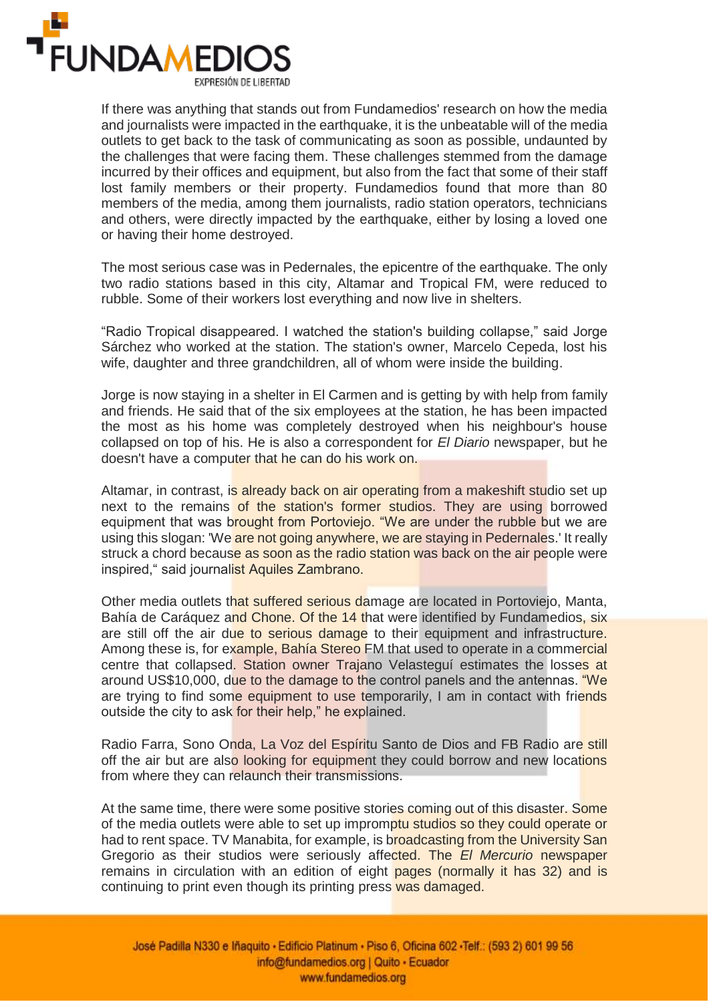

If there was anything that stands out from Fundamedios' research on how the media and journalists were impacted in the earthquake, it is the unbeatable will of the media outlets to get back to the task of communicating as soon as possible, undaunted by the challenges that were facing them. These challenges stemmed from the damage incurred by their offices and equipment, but also from the fact that some of their staff lost family members or their property. Fundamedios found that more than 80 members of the media, among them journalists, radio station operators, technicians and others, were directly impacted by the earthquake, either by losing a loved one or having their home destroyed.

The most serious case was in Pedernales, the epicentre of the earthquake. The only two radio stations based in this city, Altamar and Tropical FM, were reduced to rubble. Some of their workers lost everything and now live in shelters.

"Radio Tropical disappeared. I watched the station's building collapse," said Jorge Sárchez who worked at the station. The station's owner, Marcelo Cepeda, lost his wife, daughter and three grandchildren, all of whom were inside the building.

Jorge is now staying in a shelter in El Carmen and is getting by with help from family and friends. He said that of the six employees at the station, he has been impacted the most as his home was completely destroyed when his neighbour's house collapsed on top of his. He is also a correspondent for *El Diario* newspaper, but he doesn't have a computer that he can do his work on.

Altamar, in contrast, is already back on air operating from a makeshift studio set up next to the remains of the station's former studios. They are using borrowed equipment that was brought from Portoviejo. "We are under the rubble but we are using this slogan: 'We are not going anywhere, we are staying in Pedernales.' It really struck a chord because as soon as the radio station was back on the air people were inspired," said journalist Aquiles Zambrano.

Other media outlets that suffered serious damage are located in Portoviejo, Manta, Bahía de Caráquez and Chone. Of the 14 that were identified by Fundamedios, six are still off the air due to serious damage to their equipment and infrastructure. Among these is, for example, Bahía Stereo FM that used to operate in a commercial centre that collapsed. Station owner Trajano Velasteguí estimates the losses at around US\$10,000, due to the damage to the control panels and the antennas. "We are trying to find some equipment to use temporarily, I am in contact with friends outside the city to ask for their help," he explained.

Radio Farra, Sono Onda, La Voz del Espíritu Santo de Dios and FB Radio are still off the air but are also looking for equipment they could borrow and new locations from where they can relaunch their transmissions.

At the same time, there were some positive stories coming out of this disaster. Some of the media outlets were able to set up impromptu studios so they could operate or had to rent space. TV Manabita, for example, is broadcasting from the University San Gregorio as their studios were seriously affected. The *El Mercurio* newspaper remains in circulation with an edition of eight pages (normally it has 32) and is continuing to print even though its printing press was damaged.